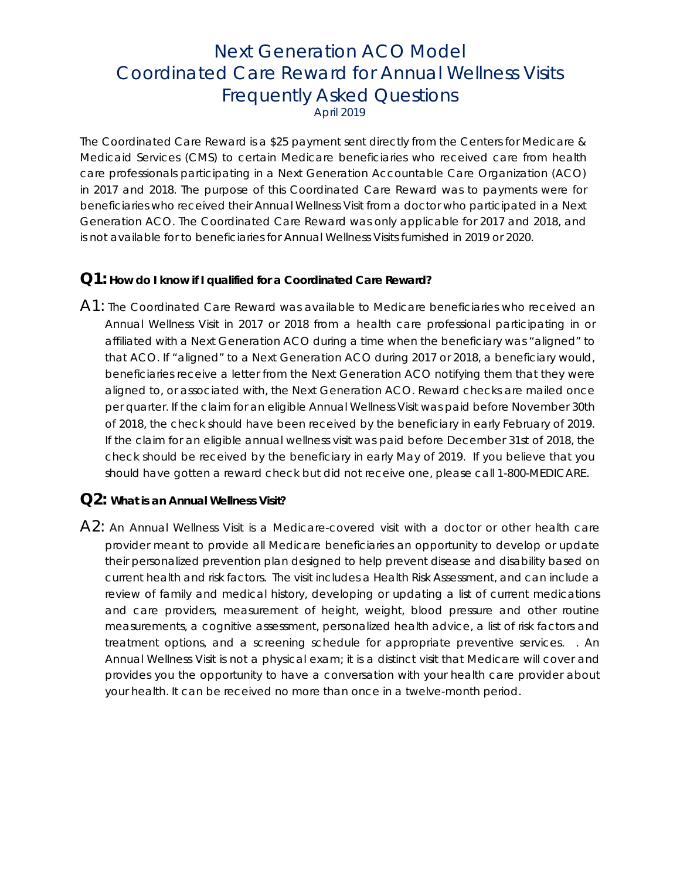# Next Generation ACO Model Coordinated Care Reward for Annual Wellness Visits Frequently Asked Questions April 2019

The Coordinated Care Reward is a \$25 payment sent directly from the Centers for Medicare & Medicaid Services (CMS) to certain Medicare beneficiaries who received care from health care professionals participating in a Next Generation Accountable Care Organization (ACO) in 2017 and 2018. The purpose of this Coordinated Care Reward was to payments were for beneficiaries who received their Annual Wellness Visit from a doctor who participated in a Next Generation ACO. The Coordinated Care Reward was only applicable for 2017 and 2018, and is not available for to beneficiaries for Annual Wellness Visits furnished in 2019 or 2020.

#### **Q1: How do I know if I qualified for a Coordinated Care Reward?**

A1: The Coordinated Care Reward was available to Medicare beneficiaries who received an Annual Wellness Visit in 2017 or 2018 from a health care professional participating in or affiliated with a Next Generation ACO during a time when the beneficiary was "aligned" to that ACO. If "aligned" to a Next Generation ACO during 2017 or 2018, a beneficiary would, beneficiaries receive a letter from the Next Generation ACO notifying them that they were aligned to, or associated with, the Next Generation ACO. Reward checks are mailed once per quarter. If the claim for an eligible Annual Wellness Visit was paid before November 30th of 2018, the check should have been received by the beneficiary in early February of 2019. If the claim for an eligible annual wellness visit was paid before December 31st of 2018, the check should be received by the beneficiary in early May of 2019. If you believe that you should have gotten a reward check but did not receive one, please call 1-800-MEDICARE.

#### **Q2: What is an Annual Wellness Visit?**

A2: An Annual Wellness Visit is a Medicare-covered visit with a doctor or other health care provider meant to provide all Medicare beneficiaries an opportunity to develop or update their personalized prevention plan designed to help prevent disease and disability based on current health and risk factors. The visit includes a Health Risk Assessment, and can include a review of family and medical history, developing or updating a list of current medications and care providers, measurement of height, weight, blood pressure and other routine measurements, a cognitive assessment, personalized health advice, a list of risk factors and treatment options, and a screening schedule for appropriate preventive services. . An Annual Wellness Visit is not a physical exam; it is a distinct visit that Medicare will cover and provides you the opportunity to have a conversation with your health care provider about your health. It can be received no more than once in a twelve-month period.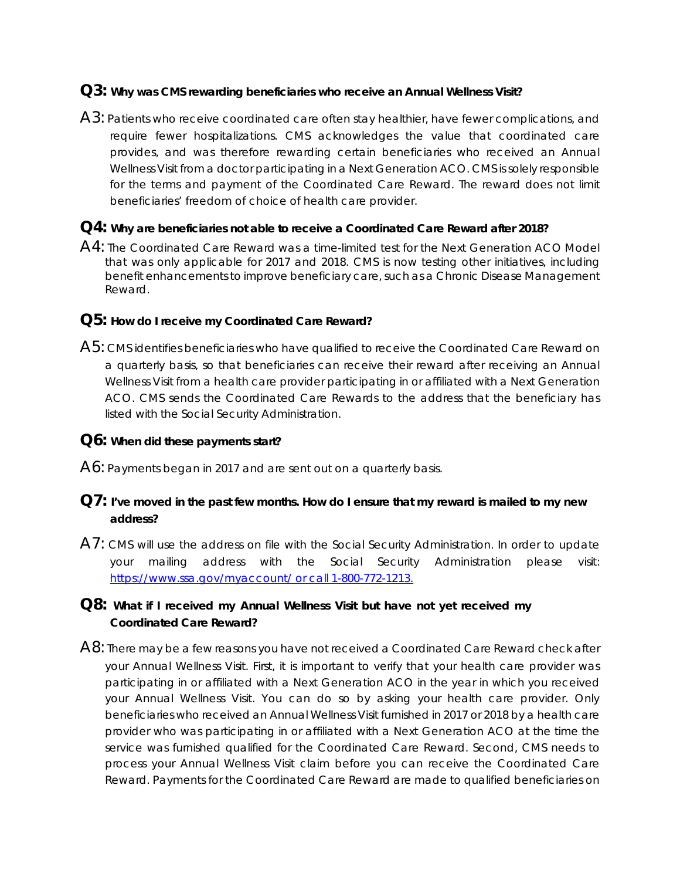### **Q3: Why was CMS rewarding beneficiaries who receive an Annual Wellness Visit?**

A3: Patients who receive coordinated care often stay healthier, have fewer complications, and require fewer hospitalizations. CMS acknowledges the value that coordinated care provides, and was therefore rewarding certain beneficiaries who received an Annual Wellness Visit from a doctor participating in a Next Generation ACO. CMS is solely responsible for the terms and payment of the Coordinated Care Reward. The reward does not limit beneficiaries' freedom of choice of health care provider.

#### **Q4: Why are beneficiaries not able to receive a Coordinated Care Reward after 2018?**

A4: The Coordinated Care Reward was a time-limited test for the Next Generation ACO Model that was only applicable for 2017 and 2018. CMS is now testing other initiatives, including benefit enhancements to improve beneficiary care, such as a Chronic Disease Management Reward.

# **Q5: How do I receive my Coordinated Care Reward?**

A5: CMS identifies beneficiaries who have qualified to receive the Coordinated Care Reward on a quarterly basis, so that beneficiaries can receive their reward after receiving an Annual Wellness Visit from a health care provider participating in or affiliated with a Next Generation ACO. CMS sends the Coordinated Care Rewards to the address that the beneficiary has listed with the Social Security Administration.

### **Q6: When did these payments start?**

A6: Payments began in 2017 and are sent out on a quarterly basis.

# **Q7: I've moved in the past few months. How do I ensure that my reward is mailed to my new address?**

A7: CMS will use the address on file with the Social Security Administration. In order to update your mailing address with the Social Security Administration please visit: https://www.ssa.gov/myaccount/ or call 1-800-772-1213.

# **Q8: What if I received my Annual Wellness Visit but have not yet received my Coordinated Care Reward?**

A8: There may be a few reasons you have not received a Coordinated Care Reward check after your Annual Wellness Visit. First, it is important to verify that your health care provider was participating in or affiliated with a Next Generation ACO in the year in which you received your Annual Wellness Visit. You can do so by asking your health care provider. Only beneficiaries who received an Annual Wellness Visit furnished in 2017 or 2018 by a health care provider who was participating in or affiliated with a Next Generation ACO at the time the service was furnished qualified for the Coordinated Care Reward. Second, CMS needs to process your Annual Wellness Visit claim before you can receive the Coordinated Care Reward. Payments for the Coordinated Care Reward are made to qualified beneficiaries on